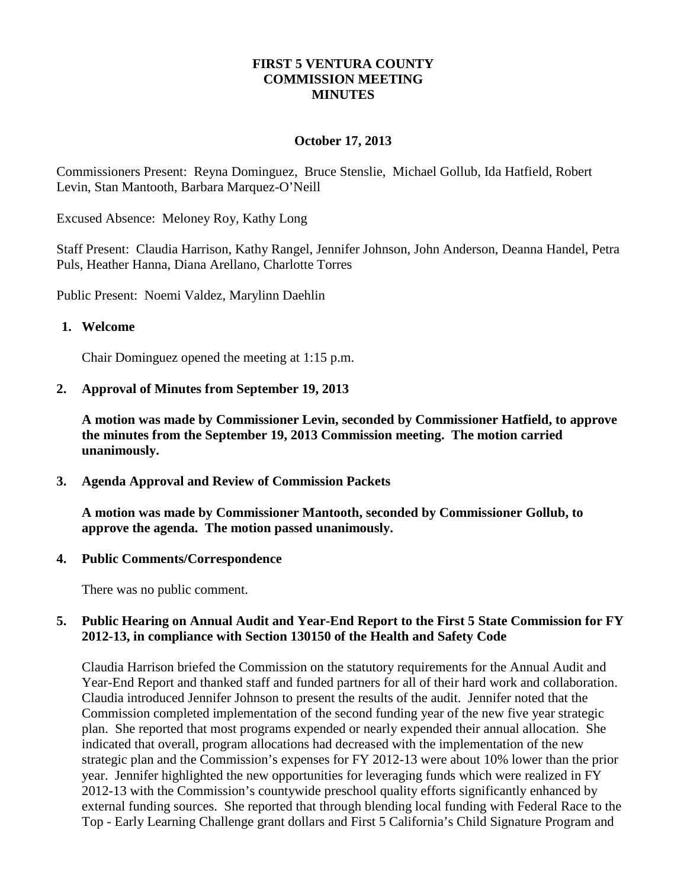## **FIRST 5 VENTURA COUNTY COMMISSION MEETING MINUTES**

## **October 17, 2013**

Commissioners Present: Reyna Dominguez, Bruce Stenslie, Michael Gollub, Ida Hatfield, Robert Levin, Stan Mantooth, Barbara Marquez-O'Neill

Excused Absence: Meloney Roy, Kathy Long

Staff Present: Claudia Harrison, Kathy Rangel, Jennifer Johnson, John Anderson, Deanna Handel, Petra Puls, Heather Hanna, Diana Arellano, Charlotte Torres

Public Present: Noemi Valdez, Marylinn Daehlin

#### **1. Welcome**

Chair Dominguez opened the meeting at 1:15 p.m.

**2. Approval of Minutes from September 19, 2013**

**A motion was made by Commissioner Levin, seconded by Commissioner Hatfield, to approve the minutes from the September 19, 2013 Commission meeting. The motion carried unanimously.**

**3. Agenda Approval and Review of Commission Packets**

**A motion was made by Commissioner Mantooth, seconded by Commissioner Gollub, to approve the agenda. The motion passed unanimously.**

**4. Public Comments/Correspondence**

There was no public comment.

## **5. Public Hearing on Annual Audit and Year-End Report to the First 5 State Commission for FY 2012-13, in compliance with Section 130150 of the Health and Safety Code**

Claudia Harrison briefed the Commission on the statutory requirements for the Annual Audit and Year-End Report and thanked staff and funded partners for all of their hard work and collaboration. Claudia introduced Jennifer Johnson to present the results of the audit. Jennifer noted that the Commission completed implementation of the second funding year of the new five year strategic plan. She reported that most programs expended or nearly expended their annual allocation. She indicated that overall, program allocations had decreased with the implementation of the new strategic plan and the Commission's expenses for FY 2012-13 were about 10% lower than the prior year. Jennifer highlighted the new opportunities for leveraging funds which were realized in FY 2012-13 with the Commission's countywide preschool quality efforts significantly enhanced by external funding sources. She reported that through blending local funding with Federal Race to the Top - Early Learning Challenge grant dollars and First 5 California's Child Signature Program and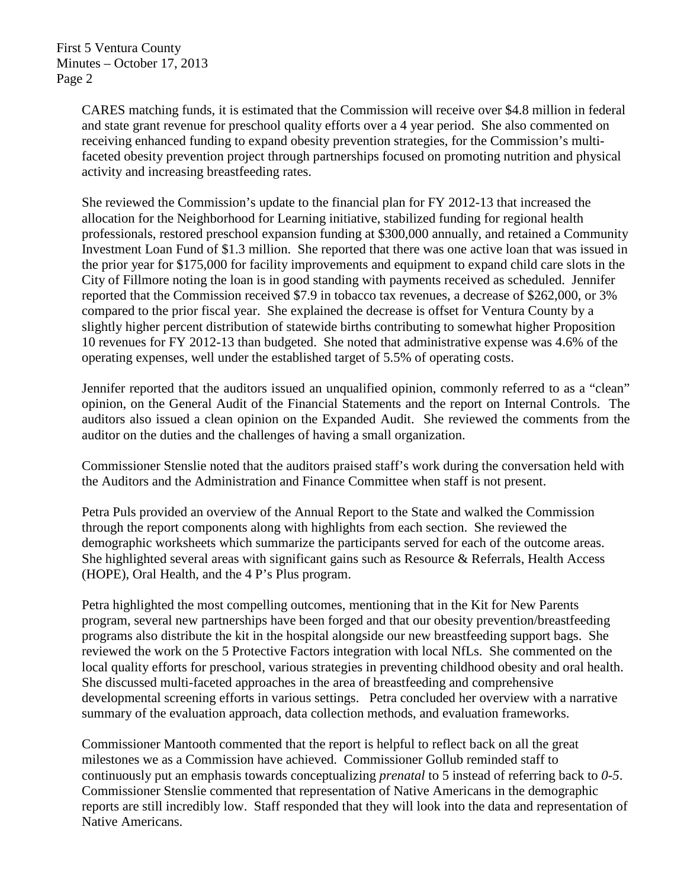First 5 Ventura County Minutes – October 17, 2013 Page 2

> CARES matching funds, it is estimated that the Commission will receive over \$4.8 million in federal and state grant revenue for preschool quality efforts over a 4 year period. She also commented on receiving enhanced funding to expand obesity prevention strategies, for the Commission's multifaceted obesity prevention project through partnerships focused on promoting nutrition and physical activity and increasing breastfeeding rates.

> She reviewed the Commission's update to the financial plan for FY 2012-13 that increased the allocation for the Neighborhood for Learning initiative, stabilized funding for regional health professionals, restored preschool expansion funding at \$300,000 annually, and retained a Community Investment Loan Fund of \$1.3 million. She reported that there was one active loan that was issued in the prior year for \$175,000 for facility improvements and equipment to expand child care slots in the City of Fillmore noting the loan is in good standing with payments received as scheduled. Jennifer reported that the Commission received \$7.9 in tobacco tax revenues, a decrease of \$262,000, or 3% compared to the prior fiscal year. She explained the decrease is offset for Ventura County by a slightly higher percent distribution of statewide births contributing to somewhat higher Proposition 10 revenues for FY 2012-13 than budgeted. She noted that administrative expense was 4.6% of the operating expenses, well under the established target of 5.5% of operating costs.

> Jennifer reported that the auditors issued an unqualified opinion, commonly referred to as a "clean" opinion, on the General Audit of the Financial Statements and the report on Internal Controls. The auditors also issued a clean opinion on the Expanded Audit. She reviewed the comments from the auditor on the duties and the challenges of having a small organization.

Commissioner Stenslie noted that the auditors praised staff's work during the conversation held with the Auditors and the Administration and Finance Committee when staff is not present.

Petra Puls provided an overview of the Annual Report to the State and walked the Commission through the report components along with highlights from each section. She reviewed the demographic worksheets which summarize the participants served for each of the outcome areas. She highlighted several areas with significant gains such as Resource & Referrals, Health Access (HOPE), Oral Health, and the 4 P's Plus program.

Petra highlighted the most compelling outcomes, mentioning that in the Kit for New Parents program, several new partnerships have been forged and that our obesity prevention/breastfeeding programs also distribute the kit in the hospital alongside our new breastfeeding support bags. She reviewed the work on the 5 Protective Factors integration with local NfLs. She commented on the local quality efforts for preschool, various strategies in preventing childhood obesity and oral health. She discussed multi-faceted approaches in the area of breastfeeding and comprehensive developmental screening efforts in various settings. Petra concluded her overview with a narrative summary of the evaluation approach, data collection methods, and evaluation frameworks.

Commissioner Mantooth commented that the report is helpful to reflect back on all the great milestones we as a Commission have achieved. Commissioner Gollub reminded staff to continuously put an emphasis towards conceptualizing *prenatal* to 5 instead of referring back to *0-5*. Commissioner Stenslie commented that representation of Native Americans in the demographic reports are still incredibly low. Staff responded that they will look into the data and representation of Native Americans.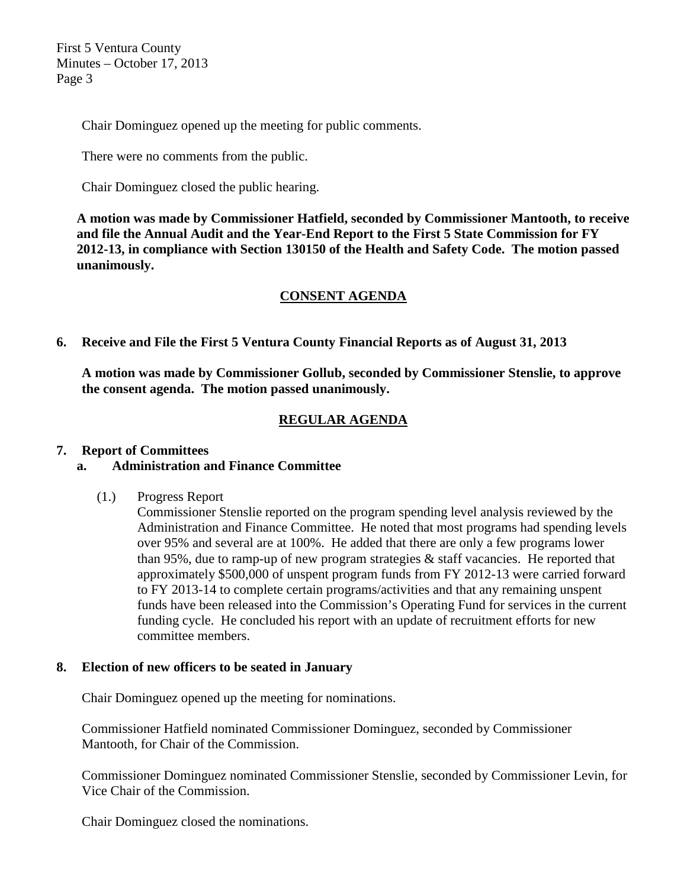First 5 Ventura County Minutes – October 17, 2013 Page 3

Chair Dominguez opened up the meeting for public comments.

There were no comments from the public.

Chair Dominguez closed the public hearing.

**A motion was made by Commissioner Hatfield, seconded by Commissioner Mantooth, to receive and file the Annual Audit and the Year-End Report to the First 5 State Commission for FY 2012-13, in compliance with Section 130150 of the Health and Safety Code. The motion passed unanimously.**

# **CONSENT AGENDA**

**6. Receive and File the First 5 Ventura County Financial Reports as of August 31, 2013**

**A motion was made by Commissioner Gollub, seconded by Commissioner Stenslie, to approve the consent agenda. The motion passed unanimously.**

# **REGULAR AGENDA**

## **7. Report of Committees**

# **a. Administration and Finance Committee**

(1.) Progress Report

Commissioner Stenslie reported on the program spending level analysis reviewed by the Administration and Finance Committee. He noted that most programs had spending levels over 95% and several are at 100%. He added that there are only a few programs lower than 95%, due to ramp-up of new program strategies & staff vacancies. He reported that approximately \$500,000 of unspent program funds from FY 2012-13 were carried forward to FY 2013-14 to complete certain programs/activities and that any remaining unspent funds have been released into the Commission's Operating Fund for services in the current funding cycle. He concluded his report with an update of recruitment efforts for new committee members.

## **8. Election of new officers to be seated in January**

Chair Dominguez opened up the meeting for nominations.

Commissioner Hatfield nominated Commissioner Dominguez, seconded by Commissioner Mantooth, for Chair of the Commission.

Commissioner Dominguez nominated Commissioner Stenslie, seconded by Commissioner Levin, for Vice Chair of the Commission.

Chair Dominguez closed the nominations.